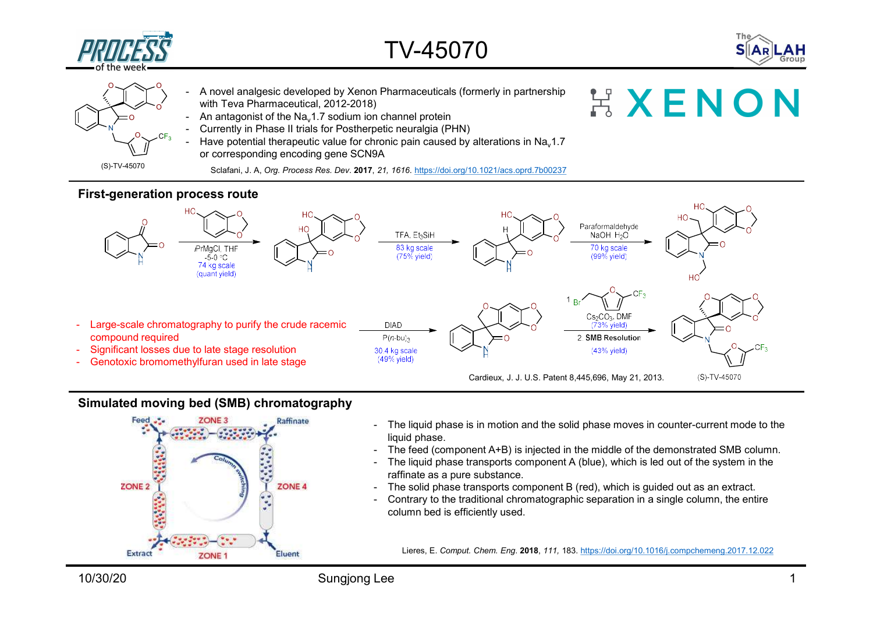



- $TV-45070$ <br>- A novel analgesic developed by Xenon Pharmaceuticals (formerly in partnership<br>with Teva Pharmaceutical, 2012-2018)<br>- An antagonist of the Na,1.7 sodium ion channel protein<br>- Currently in Phase II trials for Po  $\rm _O^{\prime}$  with Teva Pharmaceutical, 2012-2018) - A novel analgesic developed by Xenon Pharmaceuticals (formerly in partnership with Teva Pharmaceutical, 2012-2018)<br>- An antagonist of the Na<sub>v</sub>1.7 sodium ion channel protein<br>- Currently in Phase II trials for Postherpet - A novel analgesic developed by Xenon Pharmaceuticals (formerly in partnership with Teva Pharmaceutical, 2012-2018)<br>- An antagonist of the Na<sub>v</sub>1.7 sodium ion channel protein<br>- Currently in Phase II trials for Postherpet  $TV-45070$ <br>- A novel analgesic developed by Xenon Pharmaceuticals (formerly in partnership<br>with Teva Pharmaceutical, 2012-2018)<br>- An antagonist of the Na<sub>v</sub>1.7 sodium ion channel protein<br>- Eurrentiy in Phase II trials for  $0 \rightarrow \infty$  or  $\sim 0$ , a new tension developed by Yemen Pharmac
	- An antagonist of the Na. 1.7 sodium ion channel protein
	- Currently in Phase II trials for Postherpetic neuralgia (PHN)
	- or corresponding encoding gene SCN9A Have potential therapeutic value for chronic pain caused by alterations in Na.1.7

(S)-TV-45070 Sclafani, J. A, *Org. Process Res. Dev.* 2017, *21, 1616. https://doi.org/10.1021/acs.oprd.7b00237* 

### First-generation process route



# Simulated moving bed (SMB) chromatography



- liquid phase.
- 
- raffinate as a pure substance.
- 
- column bed is efficiently used.

Lieres, E. Comput. Chem. Eng. 2018, 111, 183. https://doi.org/10.1016/j.compchemeng.2017.12.022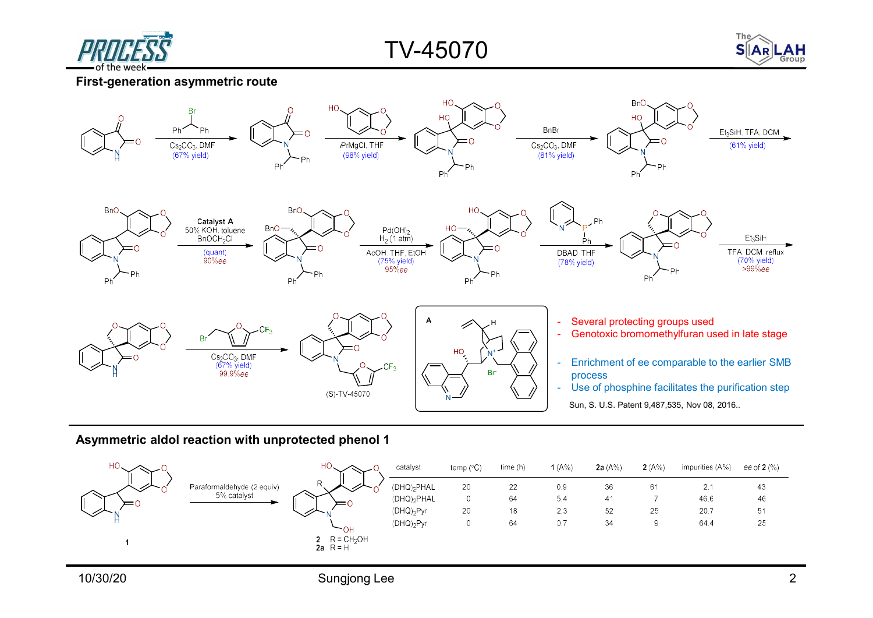

TV-45070



### First-generation asymmetric route



#### Asymmetric aldol reaction with unprotected phenol 1